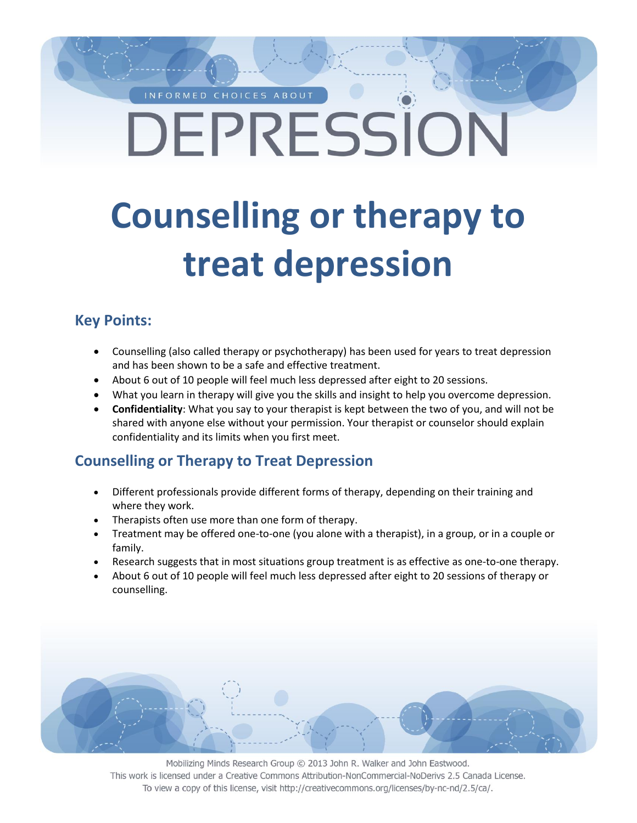## INFORMED CHOICES ABOUT DEPRESSION

# **Counselling or therapy to treat depression**

#### **Key Points:**

- Counselling (also called therapy or psychotherapy) has been used for years to treat depression and has been shown to be a safe and effective treatment.
- About 6 out of 10 people will feel much less depressed after eight to 20 sessions.
- What you learn in therapy will give you the skills and insight to help you overcome depression.
- **Confidentiality**: What you say to your therapist is kept between the two of you, and will not be shared with anyone else without your permission. Your therapist or counselor should explain confidentiality and its limits when you first meet.

#### **Counselling or Therapy to Treat Depression**

- Different professionals provide different forms of therapy, depending on their training and where they work.
- Therapists often use more than one form of therapy.
- Treatment may be offered one-to-one (you alone with a therapist), in a group, or in a couple or family.
- Research suggests that in most situations group treatment is as effective as one-to-one therapy.
- About 6 out of 10 people will feel much less depressed after eight to 20 sessions of therapy or counselling.

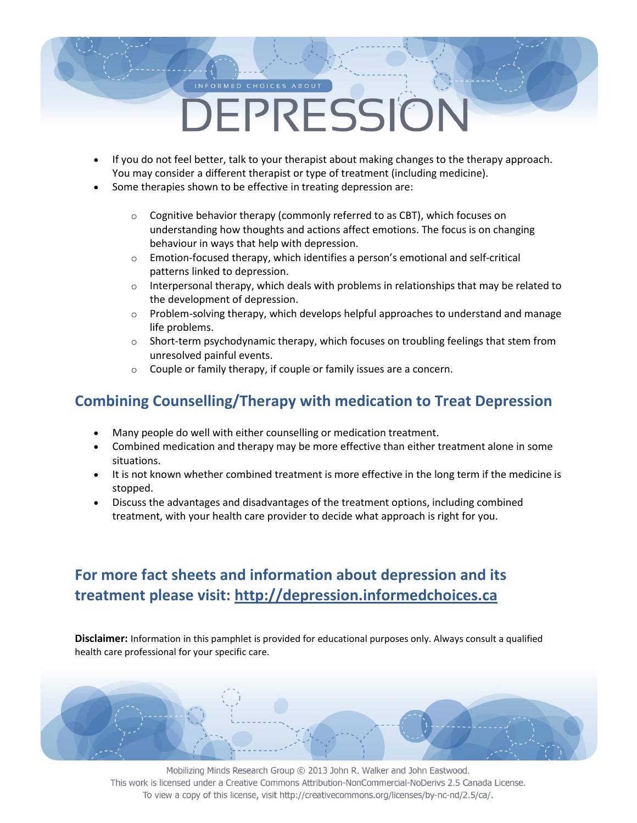### INFORMED CHOICES ABOUT DEPRESSION

- If you do not feel better, talk to your therapist about making changes to the therapy approach. You may consider a different therapist or type of treatment (including medicine).
- Some therapies shown to be effective in treating depression are:
	- o Cognitive behavior therapy (commonly referred to as CBT), which focuses on understanding how thoughts and actions affect emotions. The focus is on changing behaviour in ways that help with depression.
	- $\circ$  Emotion-focused therapy, which identifies a person's emotional and self-critical patterns linked to depression.
	- $\circ$  Interpersonal therapy, which deals with problems in relationships that may be related to the development of depression.
	- $\circ$  Problem-solving therapy, which develops helpful approaches to understand and manage life problems.
	- $\circ$  Short-term psychodynamic therapy, which focuses on troubling feelings that stem from unresolved painful events.
	- o Couple or family therapy, if couple or family issues are a concern.

#### **Combining Counselling/Therapy with medication to Treat Depression**

- Many people do well with either counselling or medication treatment.
- Combined medication and therapy may be more effective than either treatment alone in some situations.
- It is not known whether combined treatment is more effective in the long term if the medicine is stopped.
- Discuss the advantages and disadvantages of the treatment options, including combined treatment, with your health care provider to decide what approach is right for you.

#### **For more fact sheets and information about depression and its treatment please visit: http://depression.informedchoices.ca**

**Disclaimer:** Information in this pamphlet is provided for educational purposes only. Always consult a qualified health care professional for your specific care.

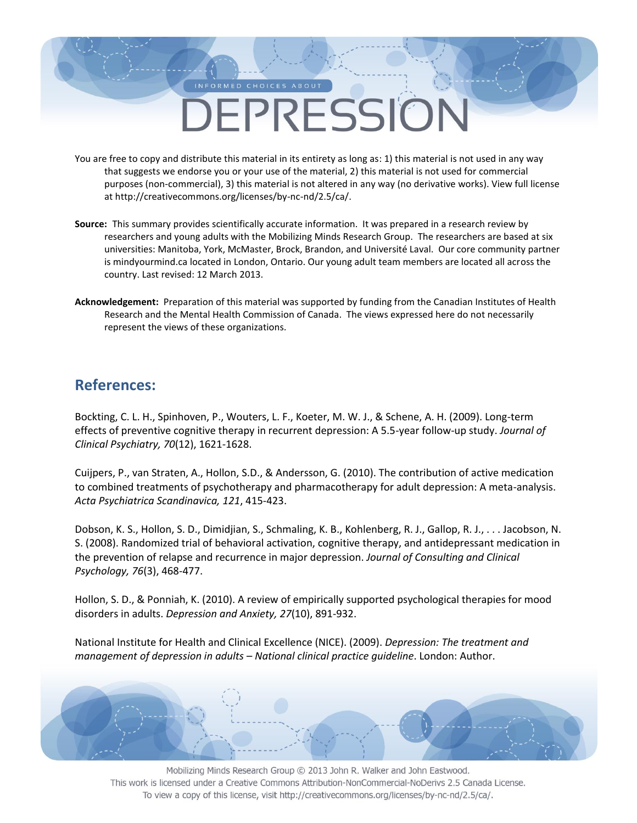### INFORMED CHOICES ABOUT DEPRESSION

- You are free to copy and distribute this material in its entirety as long as: 1) this material is not used in any way that suggests we endorse you or your use of the material, 2) this material is not used for commercial purposes (non-commercial), 3) this material is not altered in any way (no derivative works). View full license at http://creativecommons.org/licenses/by-nc-nd/2.5/ca/.
- **Source:** This summary provides scientifically accurate information. It was prepared in a research review by researchers and young adults with the Mobilizing Minds Research Group. The researchers are based at six universities: Manitoba, York, McMaster, Brock, Brandon, and Université Laval. Our core community partner is mindyourmind.ca located in London, Ontario. Our young adult team members are located all across the country. Last revised: 12 March 2013.
- **Acknowledgement:** Preparation of this material was supported by funding from the Canadian Institutes of Health Research and the Mental Health Commission of Canada. The views expressed here do not necessarily represent the views of these organizations.

#### **References:**

Bockting, C. L. H., Spinhoven, P., Wouters, L. F., Koeter, M. W. J., & Schene, A. H. (2009). Long-term effects of preventive cognitive therapy in recurrent depression: A 5.5-year follow-up study. *Journal of Clinical Psychiatry, 70*(12), 1621-1628.

Cuijpers, P., van Straten, A., Hollon, S.D., & Andersson, G. (2010). The contribution of active medication to combined treatments of psychotherapy and pharmacotherapy for adult depression: A meta-analysis. *Acta Psychiatrica Scandinavica, 121*, 415-423.

Dobson, K. S., Hollon, S. D., Dimidjian, S., Schmaling, K. B., Kohlenberg, R. J., Gallop, R. J., . . . Jacobson, N. S. (2008). Randomized trial of behavioral activation, cognitive therapy, and antidepressant medication in the prevention of relapse and recurrence in major depression. *Journal of Consulting and Clinical Psychology, 76*(3), 468-477.

Hollon, S. D., & Ponniah, K. (2010). A review of empirically supported psychological therapies for mood disorders in adults. *Depression and Anxiety, 27*(10), 891-932.

National Institute for Health and Clinical Excellence (NICE). (2009). *Depression: The treatment and management of depression in adults – National clinical practice guideline*. London: Author.